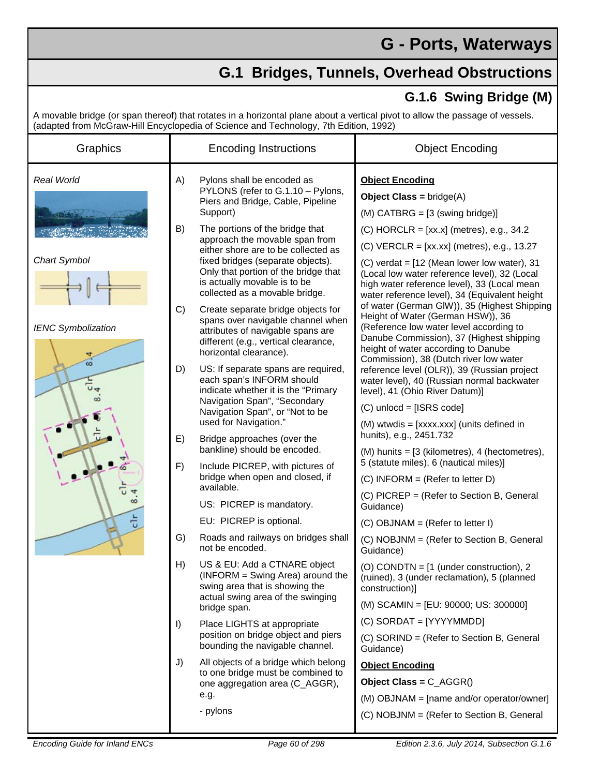## **G - Ports, Waterways**

## **G.1 Bridges, Tunnels, Overhead Obstructions**

## **G.1.6 Swing Bridge (M)**

A movable bridge (or span thereof) that rotates in a horizontal plane about a vertical pivot to allow the passage of vessels. (adapted from McGraw-Hill Encyclopedia of Science and Technology, 7th Edition, 1992)

| Graphics                       |          | <b>Encoding Instructions</b>                                                                                                                                                                                                                            | <b>Object Encoding</b>                                                                                                                                                                                                                                                                      |
|--------------------------------|----------|---------------------------------------------------------------------------------------------------------------------------------------------------------------------------------------------------------------------------------------------------------|---------------------------------------------------------------------------------------------------------------------------------------------------------------------------------------------------------------------------------------------------------------------------------------------|
| Real World                     | A)       | Pylons shall be encoded as<br>PYLONS (refer to G.1.10 - Pylons,<br>Piers and Bridge, Cable, Pipeline<br>Support)                                                                                                                                        | <b>Object Encoding</b><br><b>Object Class = bridge(A)</b><br>$(M)$ CATBRG = $[3$ (swing bridge)]                                                                                                                                                                                            |
| <b>Chart Symbol</b>            | B)       | The portions of the bridge that<br>approach the movable span from<br>either shore are to be collected as<br>fixed bridges (separate objects).<br>Only that portion of the bridge that<br>is actually movable is to be<br>collected as a movable bridge. | $(C)$ HORCLR = [xx.x] (metres), e.g., 34.2<br>$(C)$ VERCLR = [xx.xx] (metres), e.g., 13.27<br>(C) verdat = $[12$ (Mean lower low water), 31<br>(Local low water reference level), 32 (Local<br>high water reference level), 33 (Local mean<br>water reference level), 34 (Equivalent height |
| <b>IENC Symbolization</b><br>능 | C)       | Create separate bridge objects for<br>spans over navigable channel when<br>attributes of navigable spans are<br>different (e.g., vertical clearance,<br>horizontal clearance).                                                                          | of water (German GIW)), 35 (Highest Shipping<br>Height of Water (German HSW)), 36<br>(Reference low water level according to<br>Danube Commission), 37 (Highest shipping<br>height of water according to Danube<br>Commission), 38 (Dutch river low water                                   |
|                                | D)       | US: If separate spans are required,<br>each span's INFORM should<br>indicate whether it is the "Primary<br>Navigation Span", "Secondary<br>Navigation Span", or "Not to be<br>used for Navigation."                                                     | reference level (OLR)), 39 (Russian project<br>water level), 40 (Russian normal backwater<br>level), 41 (Ohio River Datum)]<br>$(C)$ unlocd = [ISRS code]<br>(M) wtwdis = [xxxx.xxx] (units defined in                                                                                      |
|                                | E)<br>F) | Bridge approaches (over the<br>bankline) should be encoded.<br>Include PICREP, with pictures of<br>bridge when open and closed, if<br>available.                                                                                                        | hunits), e.g., 2451.732<br>$(M)$ hunits = $[3$ (kilometres), 4 (hectometres),<br>5 (statute miles), 6 (nautical miles)]<br>(C) INFORM = (Refer to letter D)                                                                                                                                 |
|                                |          | US: PICREP is mandatory.                                                                                                                                                                                                                                | (C) PICREP = (Refer to Section B, General<br>Guidance)                                                                                                                                                                                                                                      |
|                                | G)       | EU: PICREP is optional.<br>Roads and railways on bridges shall<br>not be encoded.                                                                                                                                                                       | $(C)$ OBJNAM = (Refer to letter I)<br>(C) NOBJNM = (Refer to Section B, General<br>Guidance)                                                                                                                                                                                                |
|                                | H)       | US & EU: Add a CTNARE object<br>(INFORM = Swing Area) around the<br>swing area that is showing the<br>actual swing area of the swinging                                                                                                                 | (O) CONDTN = $[1$ (under construction), 2<br>(ruined), 3 (under reclamation), 5 (planned<br>construction)]                                                                                                                                                                                  |
|                                | $\vert$  | bridge span.<br>Place LIGHTS at appropriate<br>position on bridge object and piers                                                                                                                                                                      | (M) SCAMIN = [EU: 90000; US: 300000]<br>$(C)$ SORDAT = [YYYYMMDD]                                                                                                                                                                                                                           |
|                                | J)       | bounding the navigable channel.<br>All objects of a bridge which belong                                                                                                                                                                                 | (C) SORIND = (Refer to Section B, General<br>Guidance)<br><b>Object Encoding</b>                                                                                                                                                                                                            |
|                                |          | to one bridge must be combined to<br>one aggregation area (C_AGGR),<br>e.g.<br>- pylons                                                                                                                                                                 | Object Class = $C_AGGR()$<br>(M) OBJNAM = [name and/or operator/owner]                                                                                                                                                                                                                      |
|                                |          |                                                                                                                                                                                                                                                         | (C) NOBJNM = (Refer to Section B, General                                                                                                                                                                                                                                                   |